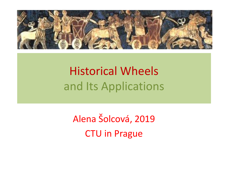

#### Historical Wheels and Its Applications

Alena Šolcová, 2019 CTU in Prague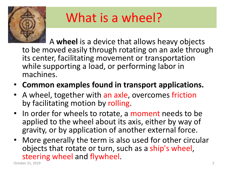

# What is a wheel?

• A **wheel** is a device that allows heavy objects to be moved easily through rotating on an axle through its center, facilitating movement or transportation while supporting a load, or performing labor in machines.

- **Common examples found in transport applications.**
- A wheel, together with an axle, overcomes friction by facilitating motion by rolling.
- In order for wheels to rotate, a moment needs to be applied to the wheel about its axis, either by way of gravity, or by application of another external force.
- More generally the term is also used for other circular objects that rotate or turn, such as a ship's wheel, Steering wheel and flywheel.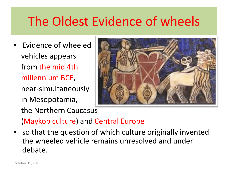#### The Oldest Evidence of wheels

• Evidence of wheeled vehicles appears from the mid 4th millennium BCE, near-simultaneously in Mesopotamia, the Northern Caucasus



(Maykop culture) and Central Europe

• so that the question of which culture originally invented the wheeled vehicle remains unresolved and under debate.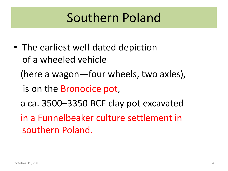#### Southern Poland

• The earliest well-dated depiction of a wheeled vehicle (here a wagon—four wheels, two axles), is on the Bronocice pot, a ca. 3500–3350 BCE clay pot excavated in a Funnelbeaker culture settlement in southern Poland.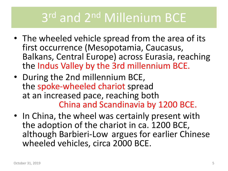# 3 rd and 2nd Millenium BCE

- The wheeled vehicle spread from the area of its first occurrence (Mesopotamia, Caucasus, Balkans, Central Europe) across Eurasia, reaching the Indus Valley by the 3rd millennium BCE.
- During the 2nd millennium BCE, the spoke-wheeled chariot spread at an increased pace, reaching both China and Scandinavia by 1200 BCE.
- In China, the wheel was certainly present with the adoption of the chariot in ca. 1200 BCE, although Barbieri-Low argues for earlier Chinese wheeled vehicles, circa 2000 BCE.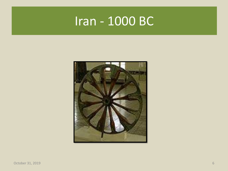#### Iran - 1000 BC

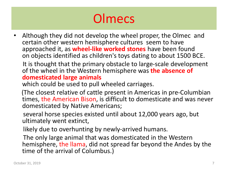## **Olmecs**

• Although they did not develop the wheel proper, the Olmec and certain other western hemisphere cultures seem to have approached it, as **wheel-like worked stones** have been found on objects identified as children's toys dating to about 1500 BCE.

It is thought that the primary obstacle to large-scale development of the wheel in the Western hemisphere was **the absence of domesticated large animals**

which could be used to pull wheeled carriages.

(The closest relative of cattle present in Americas in pre-Columbian times, the American Bison, is difficult to domesticate and was never domesticated by Native Americans;

several horse species existed until about 12,000 years ago, but ultimately went extinct,

likely due to overhunting by newly-arrived humans.

The only large animal that was domesticated in the Western hemisphere, the llama, did not spread far beyond the Andes by the time of the arrival of Columbus.)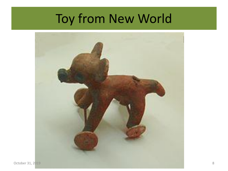#### Toy from New World

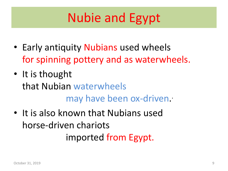## Nubie and Egypt

- Early antiquity Nubians used wheels for spinning pottery and as waterwheels.
- It is thought that Nubian waterwheels may have been ox-driven. .
- It is also known that Nubians used horse-driven chariots imported from Egypt.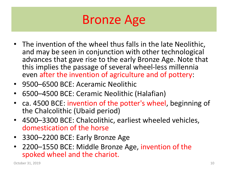#### Bronze Age

- The invention of the wheel thus falls in the late Neolithic, and may be seen in conjunction with other technological advances that gave rise to the early Bronze Age. Note that this implies the passage of several wheel-less millennia even after the invention of agriculture and of pottery:
- 9500–6500 BCE: Aceramic Neolithic
- 6500–4500 BCE: Ceramic Neolithic (Halafian)
- ca. 4500 BCE: invention of the potter's wheel, beginning of the Chalcolithic (Ubaid period)
- 4500–3300 BCE: Chalcolithic, earliest wheeled vehicles, domestication of the horse
- 3300–2200 BCE: Early Bronze Age
- 2200–1550 BCE: Middle Bronze Age, invention of the spoked wheel and the chariot.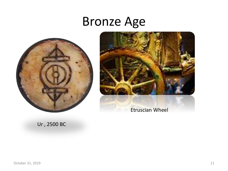#### Bronze Age





Etruscian Wheel

Ur , 2500 BC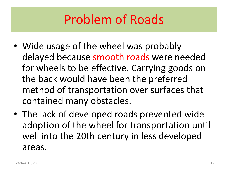### Problem of Roads

- Wide usage of the wheel was probably delayed because smooth roads were needed for wheels to be effective. Carrying goods on the back would have been the preferred method of transportation over surfaces that contained many obstacles.
- The lack of developed roads prevented wide adoption of the wheel for transportation until well into the 20th century in less developed areas.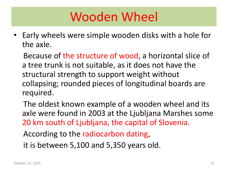### Wooden Wheel

• Early wheels were simple wooden disks with a hole for the axle.

Because of the structure of wood, a horizontal slice of a tree trunk is not suitable, as it does not have the structural strength to support weight without collapsing; rounded pieces of longitudinal boards are required.

The oldest known example of a wooden wheel and its axle were found in 2003 at the Ljubljana Marshes some 20 km south of Ljubljana, the capital of Slovenia.

According to the radiocarbon dating,

it is between 5,100 and 5,350 years old.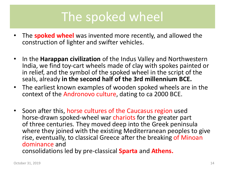#### The spoked wheel

- The **spoked wheel** was invented more recently, and allowed the construction of lighter and swifter vehicles.
- In the **Harappan civilization** of the Indus Valley and Northwestern India, we find toy-cart wheels made of clay with spokes painted or in relief, and the symbol of the spoked wheel in the script of the seals, already **in the second half of the 3rd millennium BCE.**
- The earliest known examples of wooden spoked wheels are in the context of the Andronovo culture, dating to ca 2000 BCE.
- Soon after this, horse cultures of the Caucasus region used horse-drawn spoked-wheel war chariots for the greater part of three centuries. They moved deep into the Greek peninsula where they joined with the existing Mediterranean peoples to give rise, eventually, to classical Greece after the breaking of Minoan dominance and consolidations led by pre-classical **Sparta** and **Athens.**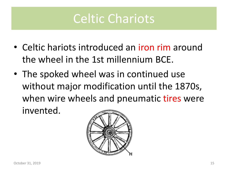#### Celtic Chariots

- Celtic hariots introduced an iron rim around the wheel in the 1st millennium BCE.
- The spoked wheel was in continued use without major modification until the 1870s, when wire wheels and pneumatic tires were invented.

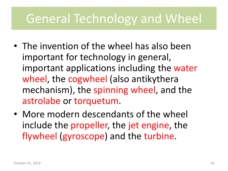#### General Technology and Wheel

- The invention of the wheel has also been important for technology in general, important applications including the water wheel, the cogwheel (also antikythera mechanism), the spinning wheel, and the astrolabe or torquetum.
- More modern descendants of the wheel include the propeller, the jet engine, the flywheel (gyroscope) and the turbine.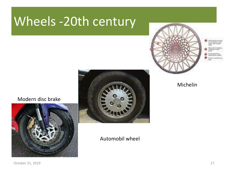#### Wheels -20th century



Modern disc brake





#### Automobil wheel

Michelin

October 31, 2019 17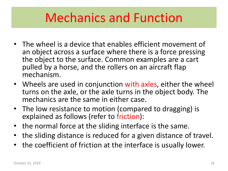#### Mechanics and Function

- The wheel is a device that enables efficient movement of an object across a surface where there is a force pressing the object to the surface. Common examples are a cart pulled by a horse, and the rollers on an aircraft flap mechanism.
- Wheels are used in conjunction with axles, either the wheel turns on the axle, or the axle turns in the object body. The mechanics are the same in either case.
- The low resistance to motion (compared to dragging) is explained as follows (refer to friction):
- the normal force at the sliding interface is the same.
- the sliding distance is reduced for a given distance of travel.
- the coefficient of friction at the interface is usually lower.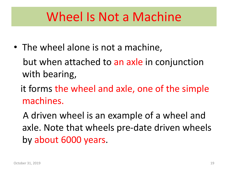#### Wheel Is Not a Machine

• The wheel alone is not a machine,

but when attached to an axle in conjunction with bearing,

it forms the wheel and axle, one of the simple machines.

A driven wheel is an example of a wheel and axle. Note that wheels pre-date driven wheels by about 6000 years.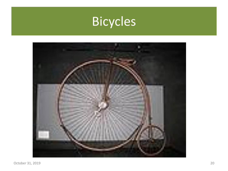

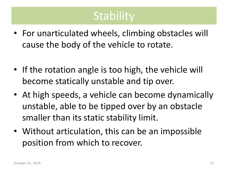#### **Stability**

- For unarticulated wheels, climbing obstacles will cause the body of the vehicle to rotate.
- If the rotation angle is too high, the vehicle will become statically unstable and tip over.
- At high speeds, a vehicle can become dynamically unstable, able to be tipped over by an obstacle smaller than its static stability limit.
- Without articulation, this can be an impossible position from which to recover.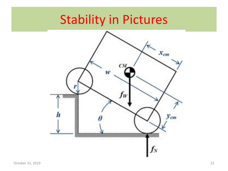# Stability in Pictures